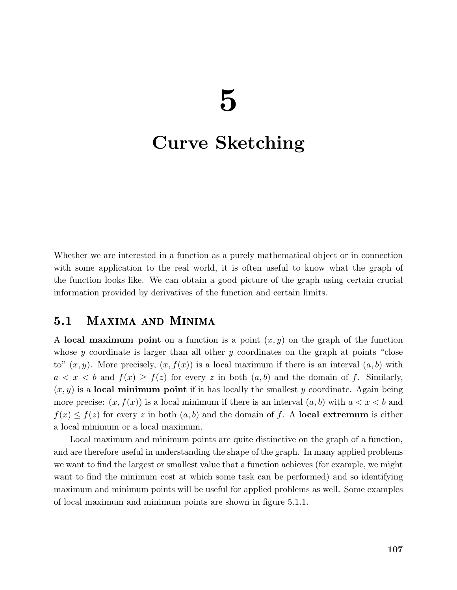# Curve Sketching

Whether we are interested in a function as a purely mathematical object or in connection with some application to the real world, it is often useful to know what the graph of the function looks like. We can obtain a good picture of the graph using certain crucial information provided by derivatives of the function and certain limits.

#### $5.1$ MAXIMA AND MINIMA

A local maximum point on a function is a point  $(x, y)$  on the graph of the function whose y coordinate is larger than all other y coordinates on the graph at points "close" to"  $(x, y)$ . More precisely,  $(x, f(x))$  is a local maximum if there is an interval  $(a, b)$  with  $a < x < b$  and  $f(x) \ge f(z)$  for every z in both  $(a, b)$  and the domain of f. Similarly,  $(x, y)$  is a **local minimum point** if it has locally the smallest y coordinate. Again being more precise:  $(x, f(x))$  is a local minimum if there is an interval  $(a, b)$  with  $a < x < b$  and  $f(x) \leq f(z)$  for every z in both  $(a, b)$  and the domain of f. A local extremum is either a local minimum or a local maximum.

Local maximum and minimum points are quite distinctive on the graph of a function, and are therefore useful in understanding the shape of the graph. In many applied problems we want to find the largest or smallest value that a function achieves (for example, we might want to find the minimum cost at which some task can be performed) and so identifying maximum and minimum points will be useful for applied problems as well. Some examples of local maximum and minimum points are shown in figure 5.1.1.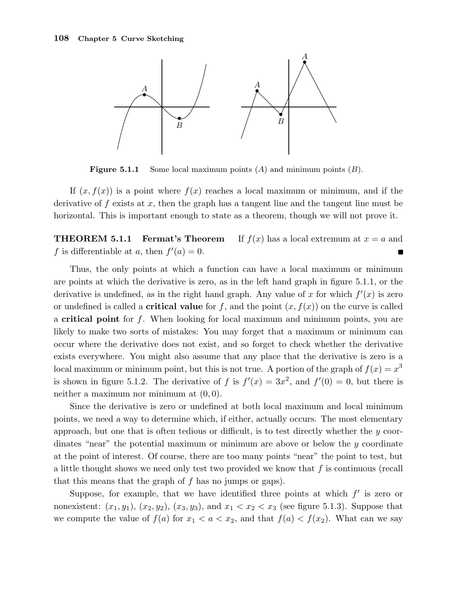

**Figure 5.1.1** Some local maximum points  $(A)$  and minimum points  $(B)$ .

If  $(x, f(x))$  is a point where  $f(x)$  reaches a local maximum or minimum, and if the derivative of  $f$  exists at  $x$ , then the graph has a tangent line and the tangent line must be horizontal. This is important enough to state as a theorem, though we will not prove it.

**THEOREM 5.1.1 Fermat's Theorem** If  $f(x)$  has a local extremum at  $x = a$  and f is differentiable at a, then  $f'(a) = 0$ . П

Thus, the only points at which a function can have a local maximum or minimum are points at which the derivative is zero, as in the left hand graph in figure 5.1.1, or the derivative is undefined, as in the right hand graph. Any value of x for which  $f'(x)$  is zero or undefined is called a **critical value** for f, and the point  $(x, f(x))$  on the curve is called a critical point for f. When looking for local maximum and minimum points, you are likely to make two sorts of mistakes: You may forget that a maximum or minimum can occur where the derivative does not exist, and so forget to check whether the derivative exists everywhere. You might also assume that any place that the derivative is zero is a local maximum or minimum point, but this is not true. A portion of the graph of  $f(x) = x^3$ is shown in figure 5.1.2. The derivative of f is  $f'(x) = 3x^2$ , and  $f'(0) = 0$ , but there is neither a maximum nor minimum at  $(0, 0)$ .

Since the derivative is zero or undefined at both local maximum and local minimum points, we need a way to determine which, if either, actually occurs. The most elementary approach, but one that is often tedious or difficult, is to test directly whether the y coordinates "near" the potential maximum or minimum are above or below the  $y$  coordinate at the point of interest. Of course, there are too many points "near" the point to test, but a little thought shows we need only test two provided we know that  $f$  is continuous (recall that this means that the graph of  $f$  has no jumps or gaps).

Suppose, for example, that we have identified three points at which  $f'$  is zero or nonexistent:  $(x_1, y_1)$ ,  $(x_2, y_2)$ ,  $(x_3, y_3)$ , and  $x_1 < x_2 < x_3$  (see figure 5.1.3). Suppose that we compute the value of  $f(a)$  for  $x_1 < a < x_2$ , and that  $f(a) < f(x_2)$ . What can we say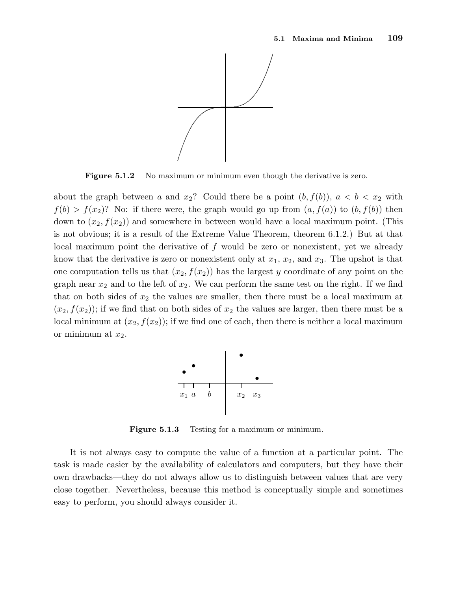

**Figure 5.1.2** No maximum or minimum even though the derivative is zero.

about the graph between a and  $x_2$ ? Could there be a point  $(b, f(b))$ ,  $a < b < x_2$  with  $f(b) > f(x_2)$ ? No: if there were, the graph would go up from  $(a, f(a))$  to  $(b, f(b))$  then down to  $(x_2, f(x_2))$  and somewhere in between would have a local maximum point. (This is not obvious; it is a result of the Extreme Value Theorem, theorem 6.1.2.) But at that local maximum point the derivative of f would be zero or nonexistent, yet we already know that the derivative is zero or nonexistent only at  $x_1, x_2$ , and  $x_3$ . The upshot is that one computation tells us that  $(x_2, f(x_2))$  has the largest y coordinate of any point on the graph near  $x_2$  and to the left of  $x_2$ . We can perform the same test on the right. If we find that on both sides of  $x_2$  the values are smaller, then there must be a local maximum at  $(x_2, f(x_2))$ ; if we find that on both sides of  $x_2$  the values are larger, then there must be a local minimum at  $(x_2, f(x_2))$ ; if we find one of each, then there is neither a local maximum or minimum at  $x_2$ .



Figure 5.1.3 Testing for a maximum or minimum.

It is not always easy to compute the value of a function at a particular point. The task is made easier by the availability of calculators and computers, but they have their own drawbacks—they do not always allow us to distinguish between values that are very close together. Nevertheless, because this method is conceptually simple and sometimes easy to perform, you should always consider it.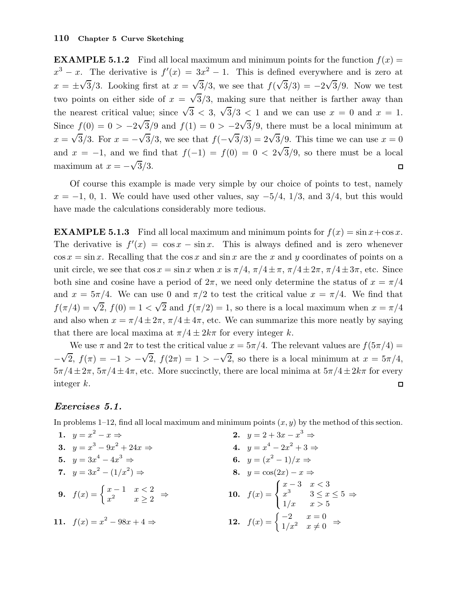**EXAMPLE 5.1.2** Find all local maximum and minimum points for the function  $f(x) =$  $x^3 - x$ . The derivative is  $f'(x) = 3x^2 - 1$ . This is defined everywhere and is zero at  $x = \pm \sqrt{3}/3$ . Looking first at  $x = \sqrt{3}/3$ , we see that  $f(\sqrt{3}/3) = -2\sqrt{3}/9$ . Now we test two points on either side of  $x = \sqrt{3}/3$ , making sure that neither is farther away than the nearest critical value; since  $\sqrt{3}$  < 3,  $\sqrt{3}/3$  < 1 and we can use  $x = 0$  and  $x = 1$ . Since  $f(0) = 0 > -2\sqrt{3}/9$  and  $f(1) = 0 > -2\sqrt{3}/9$ , there must be a local minimum at  $x = \sqrt{3}/3$ . For  $x = -\sqrt{3}/3$ , we see that  $f(-\sqrt{3}/3) = 2\sqrt{3}/9$ . This time we can use  $x = 0$ and  $x = -1$ , and we find that  $f(-1) = f(0) = 0 < 2\sqrt{3}/9$ , so there must be a local maximum at  $x = -\sqrt{3}/3$ .  $\Box$ 

Of course this example is made very simple by our choice of points to test, namely  $x = -1, 0, 1$ . We could have used other values, say  $-5/4, 1/3,$  and 3/4, but this would have made the calculations considerably more tedious.

**EXAMPLE 5.1.3** Find all local maximum and minimum points for  $f(x) = \sin x + \cos x$ . The derivative is  $f'(x) = \cos x - \sin x$ . This is always defined and is zero whenever  $\cos x = \sin x$ . Recalling that the  $\cos x$  and  $\sin x$  are the x and y coordinates of points on a unit circle, we see that  $\cos x = \sin x$  when x is  $\pi/4$ ,  $\pi/4 \pm \pi$ ,  $\pi/4 \pm 2\pi$ ,  $\pi/4 \pm 3\pi$ , etc. Since both sine and cosine have a period of  $2\pi$ , we need only determine the status of  $x = \pi/4$ and  $x = 5\pi/4$ . We can use 0 and  $\pi/2$  to test the critical value  $x = \pi/4$ . We find that  $f(\pi/4) = \sqrt{2}$ ,  $f(0) = 1 < \sqrt{2}$  and  $f(\pi/2) = 1$ , so there is a local maximum when  $x = \pi/4$ and also when  $x = \pi/4 \pm 2\pi$ ,  $\pi/4 \pm 4\pi$ , etc. We can summarize this more neatly by saying that there are local maxima at  $\pi/4 \pm 2k\pi$  for every integer k.

We use  $\pi$  and  $2\pi$  to test the critical value  $x = 5\pi/4$ . The relevant values are  $f(5\pi/4) =$  $\sqrt{2}$ ,  $f(\pi) = -1 > -\sqrt{2}$ ,  $f(2\pi) = 1 > -\sqrt{2}$ , so there is a local minimum at  $x = 5\pi/4$ , −  $5\pi/4 \pm 2\pi$ ,  $5\pi/4 \pm 4\pi$ , etc. More succinctly, there are local minima at  $5\pi/4 \pm 2k\pi$  for every integer k.  $\Box$ 

#### Exercises 5.1.

In problems 1–12, find all local maximum and minimum points  $(x, y)$  by the method of this section.

1. 
$$
y = x^2 - x \Rightarrow
$$
  
\n2.  $y = 2 + 3x - x^3 \Rightarrow$   
\n3.  $y = x^3 - 9x^2 + 24x \Rightarrow$   
\n4.  $y = x^4 - 2x^2 + 3 \Rightarrow$   
\n5.  $y = 3x^4 - 4x^3 \Rightarrow$   
\n6.  $y = (x^2 - 1)/x \Rightarrow$   
\n7.  $y = 3x^2 - (1/x^2) \Rightarrow$   
\n8.  $y = \cos(2x) - x \Rightarrow$   
\n9.  $f(x) = \begin{cases} x - 1 & x < 2 \\ x^2 & x \ge 2 \end{cases} \Rightarrow$   
\n10.  $f(x) = \begin{cases} x - 3 & x < 3 \\ x^3 & 3 \le x \le 5 \Rightarrow$   
\n11.  $f(x) = x^2 - 98x + 4 \Rightarrow$   
\n12.  $f(x) = \begin{cases} -2 & x = 0 \\ 1/x^2 & x \ne 0 \end{cases} \Rightarrow$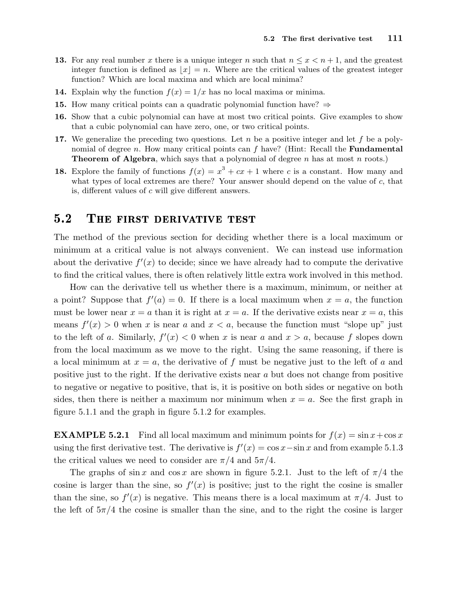- 13. For any real number x there is a unique integer n such that  $n \leq x \leq n+1$ , and the greatest integer function is defined as  $|x|=n$ . Where are the critical values of the greatest integer function? Which are local maxima and which are local minima?
- **14.** Explain why the function  $f(x) = 1/x$  has no local maxima or minima.
- 15. How many critical points can a quadratic polynomial function have?  $\Rightarrow$
- 16. Show that a cubic polynomial can have at most two critical points. Give examples to show that a cubic polynomial can have zero, one, or two critical points.
- 17. We generalize the preceding two questions. Let  $n$  be a positive integer and let  $f$  be a polynomial of degree n. How many critical points can  $f$  have? (Hint: Recall the **Fundamental Theorem of Algebra**, which says that a polynomial of degree  $n$  has at most  $n$  roots.)
- 18. Explore the family of functions  $f(x) = x^3 + cx + 1$  where c is a constant. How many and what types of local extremes are there? Your answer should depend on the value of  $c$ , that is, different values of c will give different answers.

#### $5.2$ THE FIRST DERIVATIVE TEST

The method of the previous section for deciding whether there is a local maximum or minimum at a critical value is not always convenient. We can instead use information about the derivative  $f'(x)$  to decide; since we have already had to compute the derivative to find the critical values, there is often relatively little extra work involved in this method.

How can the derivative tell us whether there is a maximum, minimum, or neither at a point? Suppose that  $f'(a) = 0$ . If there is a local maximum when  $x = a$ , the function must be lower near  $x = a$  than it is right at  $x = a$ . If the derivative exists near  $x = a$ , this means  $f'(x) > 0$  when x is near a and  $x < a$ , because the function must "slope up" just to the left of a. Similarly,  $f'(x) < 0$  when x is near a and  $x > a$ , because f slopes down from the local maximum as we move to the right. Using the same reasoning, if there is a local minimum at  $x = a$ , the derivative of f must be negative just to the left of a and positive just to the right. If the derivative exists near a but does not change from positive to negative or negative to positive, that is, it is positive on both sides or negative on both sides, then there is neither a maximum nor minimum when  $x = a$ . See the first graph in figure 5.1.1 and the graph in figure 5.1.2 for examples.

**EXAMPLE 5.2.1** Find all local maximum and minimum points for  $f(x) = \sin x + \cos x$ using the first derivative test. The derivative is  $f'(x) = \cos x - \sin x$  and from example 5.1.3 the critical values we need to consider are  $\pi/4$  and  $5\pi/4$ .

The graphs of sin x and cos x are shown in figure 5.2.1. Just to the left of  $\pi/4$  the cosine is larger than the sine, so  $f'(x)$  is positive; just to the right the cosine is smaller than the sine, so  $f'(x)$  is negative. This means there is a local maximum at  $\pi/4$ . Just to the left of  $5\pi/4$  the cosine is smaller than the sine, and to the right the cosine is larger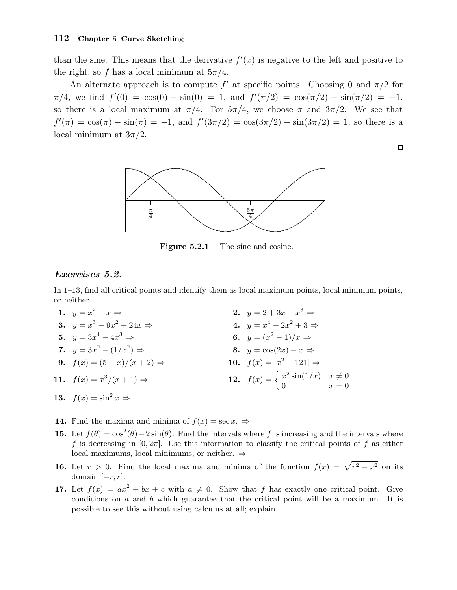than the sine. This means that the derivative  $f'(x)$  is negative to the left and positive to the right, so f has a local minimum at  $5\pi/4$ .

An alternate approach is to compute  $f'$  at specific points. Choosing 0 and  $\pi/2$  for  $\pi/4$ , we find  $f'(0) = \cos(0) - \sin(0) = 1$ , and  $f'(\pi/2) = \cos(\pi/2) - \sin(\pi/2) = -1$ , so there is a local maximum at  $\pi/4$ . For  $5\pi/4$ , we choose  $\pi$  and  $3\pi/2$ . We see that  $f'(\pi) = \cos(\pi) - \sin(\pi) = -1$ , and  $f'(3\pi/2) = \cos(3\pi/2) - \sin(3\pi/2) = 1$ , so there is a local minimum at  $3\pi/2$ .

 $\Box$ 



Figure 5.2.1 The sine and cosine.

#### Exercises 5.2.

In 1–13, find all critical points and identify them as local maximum points, local minimum points, or neither.

- 1.  $y = x^2$  $-x \Rightarrow$  2.  $y = 2 + 3x - x^3 \Rightarrow$ 3.  $y = x^3 - 9x^2 + 24x \Rightarrow$  4.  $y = x$  $4-2x^2+3 \Rightarrow$ 5.  $y = 3x^4 - 4x^3$  $\Rightarrow$  6.  $y = (x^2 - 1)/x \Rightarrow$ 7.  $y = 3x^2 - (1/x^2)$ 8.  $y = cos(2x) - x \Rightarrow$ 9.  $f(x) = (5 - x)/(x + 2) \Rightarrow$  $2^2 - 121 \Rightarrow$ 11.  $f(x) = x^3$  $f(x+1) \Rightarrow$  **12.**  $f(x) = \begin{cases} x^2 \sin(1/x) & x \neq 0 \\ 0 & x = 0 \end{cases}$ 0  $x = 0$ 13.  $f(x) = \sin^2 x \Rightarrow$
- **14.** Find the maxima and minima of  $f(x) = \sec x. \Rightarrow$
- 15. Let  $f(\theta) = \cos^2(\theta) 2\sin(\theta)$ . Find the intervals where f is increasing and the intervals where f is decreasing in  $[0, 2\pi]$ . Use this information to classify the critical points of f as either local maximums, local minimums, or neither. ⇒
- **16.** Let  $r > 0$ . Find the local maxima and minima of the function  $f(x) = \sqrt{r^2 x^2}$  on its domain  $[-r, r]$ .
- 17. Let  $f(x) = ax^2 + bx + c$  with  $a \neq 0$ . Show that f has exactly one critical point. Give conditions on  $a$  and  $b$  which guarantee that the critical point will be a maximum. It is possible to see this without using calculus at all; explain.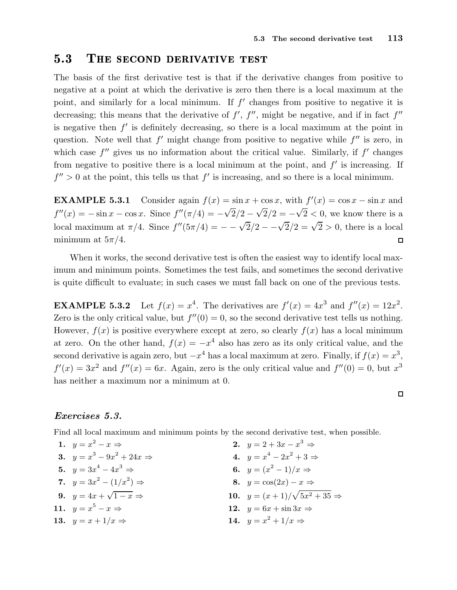$\Rightarrow$ 

 $\Box$ 

# 5.3 THE SECOND DERIVATIVE TEST

The basis of the first derivative test is that if the derivative changes from positive to negative at a point at which the derivative is zero then there is a local maximum at the point, and similarly for a local minimum. If  $f'$  changes from positive to negative it is decreasing; this means that the derivative of  $f'$ ,  $f''$ , might be negative, and if in fact  $f''$ is negative then  $f'$  is definitely decreasing, so there is a local maximum at the point in question. Note well that  $f'$  might change from positive to negative while  $f''$  is zero, in which case  $f''$  gives us no information about the critical value. Similarly, if  $f'$  changes from negative to positive there is a local minimum at the point, and  $f'$  is increasing. If  $f'' > 0$  at the point, this tells us that  $f'$  is increasing, and so there is a local minimum.

**EXAMPLE 5.3.1** Consider again  $f(x) = \sin x + \cos x$ , with  $f'(x) = \cos x - \sin x$  and  $f''(x) = -\sin x - \cos x$ . Since  $f''(\pi/4) = -\sqrt{2}/2 - \sqrt{2}/2 = -\sqrt{2} < 0$ , we know there is a local maximum at π/4. Since  $f''(5\pi/4) = -\sqrt{2}/2 - \sqrt{2}/2 = \sqrt{2} > 0$ , there is a local minimum at  $5\pi/4$ .  $\Box$ 

When it works, the second derivative test is often the easiest way to identify local maximum and minimum points. Sometimes the test fails, and sometimes the second derivative is quite difficult to evaluate; in such cases we must fall back on one of the previous tests.

 $EXAMPLE 5.3.2$ <sup>4</sup>. The derivatives are  $f'(x) = 4x^3$  and  $f''(x) = 12x^2$ . Zero is the only critical value, but  $f''(0) = 0$ , so the second derivative test tells us nothing. However,  $f(x)$  is positive everywhere except at zero, so clearly  $f(x)$  has a local minimum at zero. On the other hand,  $f(x) = -x^4$  also has zero as its only critical value, and the second derivative is again zero, but  $-x^4$  has a local maximum at zero. Finally, if  $f(x) = x^3$ ,  $f'(x) = 3x^2$  and  $f''(x) = 6x$ . Again, zero is the only critical value and  $f''(0) = 0$ , but  $x^3$ has neither a maximum nor a minimum at 0.

#### Exercises 5.3.

Find all local maximum and minimum points by the second derivative test, when possible.

| 1. $y = x^2 - x \Rightarrow$          | 2. $y = 2 + 3x - x^3 \Rightarrow$   |
|---------------------------------------|-------------------------------------|
| 3. $y = x^3 - 9x^2 + 24x \Rightarrow$ | 4. $y = x^4 - 2x^2 + 3 \Rightarrow$ |
| 5. $y = 3x^4 - 4x^3 \Rightarrow$      | 6. $y = (x^2 - 1)/x \Rightarrow$    |
| 7. $y = 3x^2 - (1/x^2) \Rightarrow$   | 8. $y = cos(2x) - x \Rightarrow$    |
| 9. $y = 4x + \sqrt{1-x} \Rightarrow$  | 10. $y = (x+1)/\sqrt{5x^2+35}$      |
| 11. $y = x^5 - x \Rightarrow$         | 12. $y = 6x + \sin 3x \Rightarrow$  |
| 13. $y = x + 1/x \Rightarrow$         | 14. $y = x^2 + 1/x \Rightarrow$     |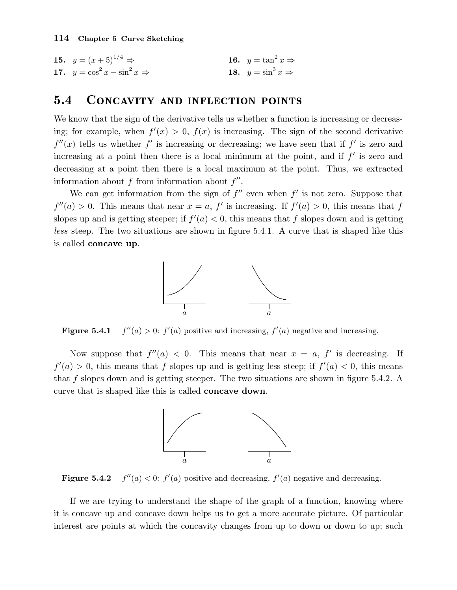15.  $y = (x+5)^{1/4} \Rightarrow$ 16.  $y = \tan^2 x \Rightarrow$ 17.  $y = \cos^2 x - \sin^2 x$  $x \Rightarrow$  18.  $y = \sin^3 x \Rightarrow$ 

## 5.4 CONCAVITY AND INFLECTION POINTS

We know that the sign of the derivative tells us whether a function is increasing or decreasing; for example, when  $f'(x) > 0$ ,  $f(x)$  is increasing. The sign of the second derivative  $f''(x)$  tells us whether f' is increasing or decreasing; we have seen that if f' is zero and increasing at a point then there is a local minimum at the point, and if  $f'$  is zero and decreasing at a point then there is a local maximum at the point. Thus, we extracted information about  $f$  from information about  $f''$ .

We can get information from the sign of  $f''$  even when  $f'$  is not zero. Suppose that  $f''(a) > 0$ . This means that near  $x = a$ , f' is increasing. If  $f'(a) > 0$ , this means that f slopes up and is getting steeper; if  $f'(a) < 0$ , this means that f slopes down and is getting less steep. The two situations are shown in figure 5.4.1. A curve that is shaped like this is called concave up.



Figure  $5.4.1$  $''(a) > 0$ :  $f'(a)$  positive and increasing,  $f'(a)$  negative and increasing.

Now suppose that  $f''(a) < 0$ . This means that near  $x = a, f'$  is decreasing. If  $f'(a) > 0$ , this means that f slopes up and is getting less steep; if  $f'(a) < 0$ , this means that f slopes down and is getting steeper. The two situations are shown in figure 5.4.2. A curve that is shaped like this is called concave down.



Figure  $5.4.2$  $''(a) < 0$ :  $f'(a)$  positive and decreasing,  $f'(a)$  negative and decreasing.

If we are trying to understand the shape of the graph of a function, knowing where it is concave up and concave down helps us to get a more accurate picture. Of particular interest are points at which the concavity changes from up to down or down to up; such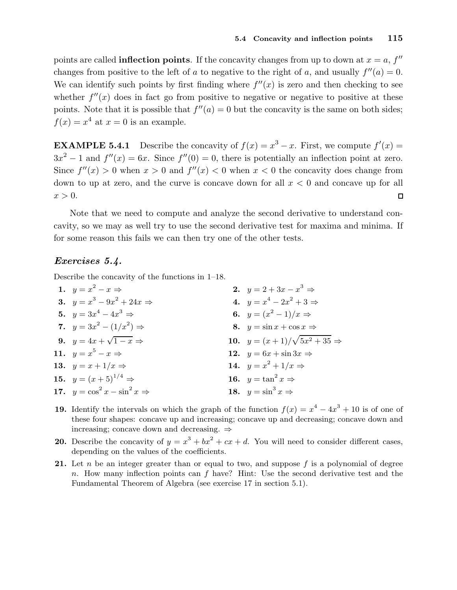points are called **inflection points**. If the concavity changes from up to down at  $x = a, f''$ changes from positive to the left of a to negative to the right of a, and usually  $f''(a) = 0$ . We can identify such points by first finding where  $f''(x)$  is zero and then checking to see whether  $f''(x)$  does in fact go from positive to negative or negative to positive at these points. Note that it is possible that  $f''(a) = 0$  but the concavity is the same on both sides;  $f(x) = x^4$  at  $x = 0$  is an example.

**EXAMPLE 5.4.1** Describe the concavity of  $f(x) = x^3 - x$ . First, we compute  $f'(x) =$  $3x^2 - 1$  and  $f''(x) = 6x$ . Since  $f''(0) = 0$ , there is potentially an inflection point at zero. Since  $f''(x) > 0$  when  $x > 0$  and  $f''(x) < 0$  when  $x < 0$  the concavity does change from down to up at zero, and the curve is concave down for all  $x < 0$  and concave up for all  $x > 0$ .  $\Box$ 

Note that we need to compute and analyze the second derivative to understand concavity, so we may as well try to use the second derivative test for maxima and minima. If for some reason this fails we can then try one of the other tests.

### Exercises 5.4.

Describe the concavity of the functions in 1–18.

| 1. $y = x^2 - x \Rightarrow$            | <b>2.</b> $y = 2 + 3x - x^3 \Rightarrow$   |
|-----------------------------------------|--------------------------------------------|
| 3. $y = x^3 - 9x^2 + 24x \Rightarrow$   | 4. $y = x^4 - 2x^2 + 3 \Rightarrow$        |
| 5. $y = 3x^4 - 4x^3 \Rightarrow$        | 6. $y = (x^2 - 1)/x \Rightarrow$           |
| 7. $y = 3x^2 - (1/x^2) \Rightarrow$     | 8. $y = \sin x + \cos x \Rightarrow$       |
| 9. $y = 4x + \sqrt{1-x} \Rightarrow$    | 10. $y = (x+1)/\sqrt{5x^2+35} \Rightarrow$ |
| 11. $y = x^5 - x \Rightarrow$           | 12. $y = 6x + \sin 3x \Rightarrow$         |
| 13. $y = x + 1/x \Rightarrow$           | 14. $y = x^2 + 1/x \Rightarrow$            |
| 15. $y = (x+5)^{1/4} \Rightarrow$       | 16. $y = \tan^2 x \Rightarrow$             |
| 17. $y = cos^2 x - sin^2 x \Rightarrow$ | 18. $y = \sin^3 x \Rightarrow$             |
|                                         |                                            |

- **19.** Identify the intervals on which the graph of the function  $f(x) = x^4 4x^3 + 10$  is of one of these four shapes: concave up and increasing; concave up and decreasing; concave down and increasing; concave down and decreasing. ⇒
- **20.** Describe the concavity of  $y = x^3 + bx^2 + cx + d$ . You will need to consider different cases, depending on the values of the coefficients.
- 21. Let n be an integer greater than or equal to two, and suppose f is a polynomial of degree n. How many inflection points can f have? Hint: Use the second derivative test and the Fundamental Theorem of Algebra (see exercise 17 in section 5.1).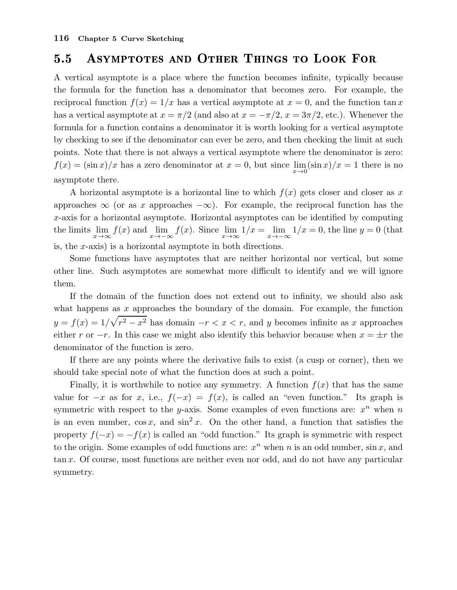# 5.5 Asymptotes and Other Things to Look For

A vertical asymptote is a place where the function becomes infinite, typically because the formula for the function has a denominator that becomes zero. For example, the reciprocal function  $f(x) = 1/x$  has a vertical asymptote at  $x = 0$ , and the function tan x has a vertical asymptote at  $x = \pi/2$  (and also at  $x = -\pi/2$ ,  $x = 3\pi/2$ , etc.). Whenever the formula for a function contains a denominator it is worth looking for a vertical asymptote by checking to see if the denominator can ever be zero, and then checking the limit at such points. Note that there is not always a vertical asymptote where the denominator is zero:  $f(x) = (\sin x)/x$  has a zero denominator at  $x = 0$ , but since  $\lim_{x\to 0} (\sin x)/x = 1$  there is no asymptote there.

A horizontal asymptote is a horizontal line to which  $f(x)$  gets closer and closer as x approaches  $\infty$  (or as x approaches  $-\infty$ ). For example, the reciprocal function has the x-axis for a horizontal asymptote. Horizontal asymptotes can be identified by computing the limits  $\lim_{x\to\infty} f(x)$  and  $\lim_{x\to-\infty} f(x)$ . Since  $\lim_{x\to\infty} 1/x = \lim_{x\to-\infty} 1/x = 0$ , the line  $y = 0$  (that is, the x-axis) is a horizontal asymptote in both directions.

Some functions have asymptotes that are neither horizontal nor vertical, but some other line. Such asymptotes are somewhat more difficult to identify and we will ignore them.

If the domain of the function does not extend out to infinity, we should also ask what happens as  $x$  approaches the boundary of the domain. For example, the function  $y = f(x) = 1/\sqrt{r^2 - x^2}$  has domain  $-r < x < r$ , and y becomes infinite as x approaches either r or  $-r$ . In this case we might also identify this behavior because when  $x = \pm r$  the denominator of the function is zero.

If there are any points where the derivative fails to exist (a cusp or corner), then we should take special note of what the function does at such a point.

Finally, it is worthwhile to notice any symmetry. A function  $f(x)$  that has the same value for  $-x$  as for x, i.e.,  $f(-x) = f(x)$ , is called an "even function." Its graph is symmetric with respect to the y-axis. Some examples of even functions are:  $x^n$  when n is an even number,  $\cos x$ , and  $\sin^2 x$ . On the other hand, a function that satisfies the property  $f(-x) = -f(x)$  is called an "odd function." Its graph is symmetric with respect to the origin. Some examples of odd functions are:  $x^n$  when n is an odd number,  $\sin x$ , and tan x. Of course, most functions are neither even nor odd, and do not have any particular symmetry.